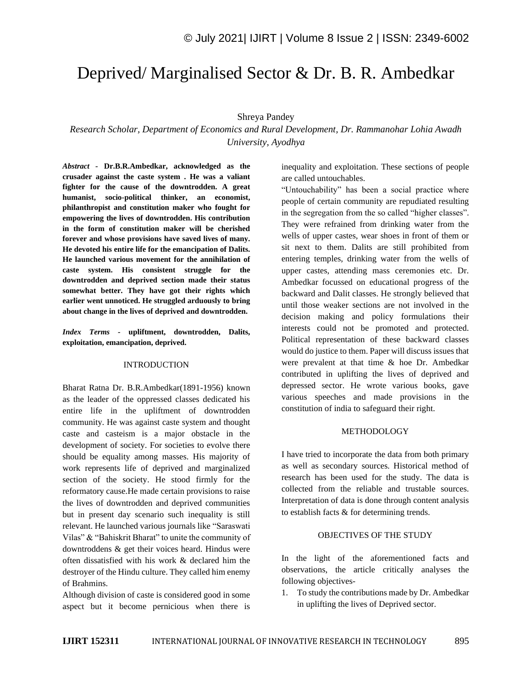# Deprived/ Marginalised Sector & Dr. B. R. Ambedkar

## Shreya Pandey

*Research Scholar, Department of Economics and Rural Development, Dr. Rammanohar Lohia Awadh University, Ayodhya*

*Abstract -* **Dr.B.R.Ambedkar, acknowledged as the crusader against the caste system . He was a valiant fighter for the cause of the downtrodden. A great humanist, socio-political thinker, an economist, philanthropist and constitution maker who fought for empowering the lives of downtrodden. His contribution in the form of constitution maker will be cherished forever and whose provisions have saved lives of many. He devoted his entire life for the emancipation of Dalits. He launched various movement for the annihilation of caste system. His consistent struggle for the downtrodden and deprived section made their status somewhat better. They have got their rights which earlier went unnoticed. He struggled arduously to bring about change in the lives of deprived and downtrodden.**

*Index Terms -* **upliftment, downtrodden, Dalits, exploitation, emancipation, deprived.**

#### INTRODUCTION

Bharat Ratna Dr. B.R.Ambedkar(1891-1956) known as the leader of the oppressed classes dedicated his entire life in the upliftment of downtrodden community. He was against caste system and thought caste and casteism is a major obstacle in the development of society. For societies to evolve there should be equality among masses. His majority of work represents life of deprived and marginalized section of the society. He stood firmly for the reformatory cause.He made certain provisions to raise the lives of downtrodden and deprived communities but in present day scenario such inequality is still relevant. He launched various journals like "Saraswati Vilas" & "Bahiskrit Bharat" to unite the community of downtroddens & get their voices heard. Hindus were often dissatisfied with his work & declared him the destroyer of the Hindu culture. They called him enemy of Brahmins.

Although division of caste is considered good in some aspect but it become pernicious when there is inequality and exploitation. These sections of people are called untouchables.

"Untouchability" has been a social practice where people of certain community are repudiated resulting in the segregation from the so called "higher classes". They were refrained from drinking water from the wells of upper castes, wear shoes in front of them or sit next to them. Dalits are still prohibited from entering temples, drinking water from the wells of upper castes, attending mass ceremonies etc. Dr. Ambedkar focussed on educational progress of the backward and Dalit classes. He strongly believed that until those weaker sections are not involved in the decision making and policy formulations their interests could not be promoted and protected. Political representation of these backward classes would do justice to them. Paper will discuss issues that were prevalent at that time & hoe Dr. Ambedkar contributed in uplifting the lives of deprived and depressed sector. He wrote various books, gave various speeches and made provisions in the constitution of india to safeguard their right.

#### METHODOLOGY

I have tried to incorporate the data from both primary as well as secondary sources. Historical method of research has been used for the study. The data is collected from the reliable and trustable sources. Interpretation of data is done through content analysis to establish facts & for determining trends.

#### OBJECTIVES OF THE STUDY

In the light of the aforementioned facts and observations, the article critically analyses the following objectives-

1. To study the contributions made by Dr. Ambedkar in uplifting the lives of Deprived sector.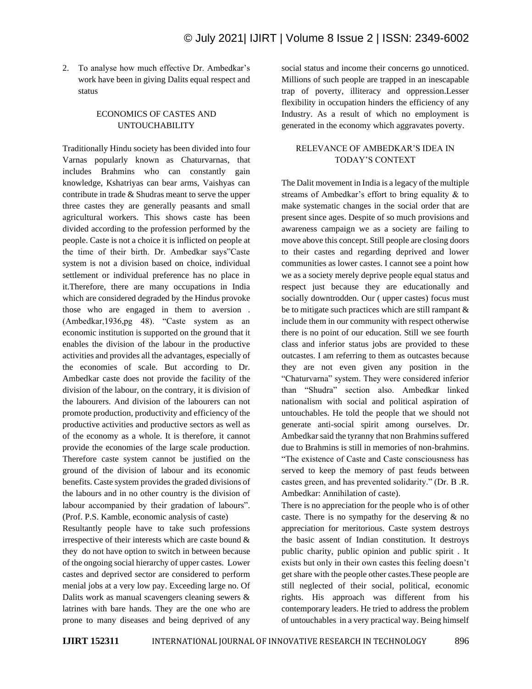2. To analyse how much effective Dr. Ambedkar's work have been in giving Dalits equal respect and status

## ECONOMICS OF CASTES AND UNTOUCHABILITY

Traditionally Hindu society has been divided into four Varnas popularly known as Chaturvarnas, that includes Brahmins who can constantly gain knowledge, Kshatriyas can bear arms, Vaishyas can contribute in trade & Shudras meant to serve the upper three castes they are generally peasants and small agricultural workers. This shows caste has been divided according to the profession performed by the people. Caste is not a choice it is inflicted on people at the time of their birth. Dr. Ambedkar says"Caste system is not a division based on choice, individual settlement or individual preference has no place in it.Therefore, there are many occupations in India which are considered degraded by the Hindus provoke those who are engaged in them to aversion . (Ambedkar,1936,pg 48). "Caste system as an economic institution is supported on the ground that it enables the division of the labour in the productive activities and provides all the advantages, especially of the economies of scale. But according to Dr. Ambedkar caste does not provide the facility of the division of the labour, on the contrary, it is division of the labourers. And division of the labourers can not promote production, productivity and efficiency of the productive activities and productive sectors as well as of the economy as a whole. It is therefore, it cannot provide the economies of the large scale production. Therefore caste system cannot be justified on the ground of the division of labour and its economic benefits. Caste system provides the graded divisions of the labours and in no other country is the division of labour accompanied by their gradation of labours". (Prof. P.S. Kamble, economic analysis of caste)

Resultantly people have to take such professions irrespective of their interests which are caste bound & they do not have option to switch in between because of the ongoing social hierarchy of upper castes. Lower castes and deprived sector are considered to perform menial jobs at a very low pay. Exceeding large no. Of Dalits work as manual scavengers cleaning sewers & latrines with bare hands. They are the one who are prone to many diseases and being deprived of any social status and income their concerns go unnoticed. Millions of such people are trapped in an inescapable trap of poverty, illiteracy and oppression.Lesser flexibility in occupation hinders the efficiency of any Industry. As a result of which no employment is generated in the economy which aggravates poverty.

## RELEVANCE OF AMBEDKAR'S IDEA IN TODAY'S CONTEXT

The Dalit movement in India is a legacy of the multiple streams of Ambedkar's effort to bring equality & to make systematic changes in the social order that are present since ages. Despite of so much provisions and awareness campaign we as a society are failing to move above this concept. Still people are closing doors to their castes and regarding deprived and lower communities as lower castes. I cannot see a point how we as a society merely deprive people equal status and respect just because they are educationally and socially downtrodden. Our ( upper castes) focus must be to mitigate such practices which are still rampant & include them in our community with respect otherwise there is no point of our education. Still we see fourth class and inferior status jobs are provided to these outcastes. I am referring to them as outcastes because they are not even given any position in the "Chaturvarna" system. They were considered inferior than "Shudra" section also. Ambedkar linked nationalism with social and political aspiration of untouchables. He told the people that we should not generate anti-social spirit among ourselves. Dr. Ambedkar said the tyranny that non Brahmins suffered due to Brahmins is still in memories of non-brahmins. "The existence of Caste and Caste consciousness has served to keep the memory of past feuds between castes green, and has prevented solidarity." (Dr. B .R. Ambedkar: Annihilation of caste).

There is no appreciation for the people who is of other caste. There is no sympathy for the deserving  $\&$  no appreciation for meritorious. Caste system destroys the basic assent of Indian constitution. It destroys public charity, public opinion and public spirit . It exists but only in their own castes this feeling doesn't get share with the people other castes.These people are still neglected of their social, political, economic rights. His approach was different from his contemporary leaders. He tried to address the problem of untouchables in a very practical way. Being himself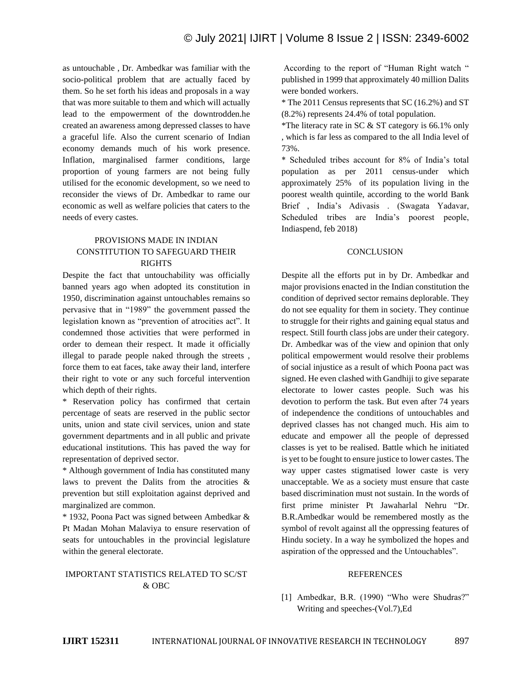as untouchable , Dr. Ambedkar was familiar with the socio-political problem that are actually faced by them. So he set forth his ideas and proposals in a way that was more suitable to them and which will actually lead to the empowerment of the downtrodden.he created an awareness among depressed classes to have a graceful life. Also the current scenario of Indian economy demands much of his work presence. Inflation, marginalised farmer conditions, large proportion of young farmers are not being fully utilised for the economic development, so we need to reconsider the views of Dr. Ambedkar to rame our economic as well as welfare policies that caters to the needs of every castes.

# PROVISIONS MADE IN INDIAN CONSTITUTION TO SAFEGUARD THEIR RIGHTS

Despite the fact that untouchability was officially banned years ago when adopted its constitution in 1950, discrimination against untouchables remains so pervasive that in "1989" the government passed the legislation known as "prevention of atrocities act". It condemned those activities that were performed in order to demean their respect. It made it officially illegal to parade people naked through the streets , force them to eat faces, take away their land, interfere their right to vote or any such forceful intervention which depth of their rights.

\* Reservation policy has confirmed that certain percentage of seats are reserved in the public sector units, union and state civil services, union and state government departments and in all public and private educational institutions. This has paved the way for representation of deprived sector.

\* Although government of India has constituted many laws to prevent the Dalits from the atrocities & prevention but still exploitation against deprived and marginalized are common.

\* 1932, Poona Pact was signed between Ambedkar & Pt Madan Mohan Malaviya to ensure reservation of seats for untouchables in the provincial legislature within the general electorate.

## IMPORTANT STATISTICS RELATED TO SC/ST & OBC

According to the report of "Human Right watch " published in 1999 that approximately 40 million Dalits were bonded workers.

\* The 2011 Census represents that SC (16.2%) and ST (8.2%) represents 24.4% of total population.

\*The literacy rate in SC & ST category is 66.1% only , which is far less as compared to the all India level of 73%.

\* Scheduled tribes account for 8% of India's total population as per 2011 census-under which approximately 25% of its population living in the poorest wealth quintile, according to the world Bank Brief , India's Adivasis . (Swagata Yadavar, Scheduled tribes are India's poorest people, Indiaspend, feb 2018)

#### **CONCLUSION**

Despite all the efforts put in by Dr. Ambedkar and major provisions enacted in the Indian constitution the condition of deprived sector remains deplorable. They do not see equality for them in society. They continue to struggle for their rights and gaining equal status and respect. Still fourth class jobs are under their category. Dr. Ambedkar was of the view and opinion that only political empowerment would resolve their problems of social injustice as a result of which Poona pact was signed. He even clashed with Gandhiji to give separate electorate to lower castes people. Such was his devotion to perform the task. But even after 74 years of independence the conditions of untouchables and deprived classes has not changed much. His aim to educate and empower all the people of depressed classes is yet to be realised. Battle which he initiated is yet to be fought to ensure justice to lower castes. The way upper castes stigmatised lower caste is very unacceptable. We as a society must ensure that caste based discrimination must not sustain. In the words of first prime minister Pt Jawaharlal Nehru "Dr. B.R.Ambedkar would be remembered mostly as the symbol of revolt against all the oppressing features of Hindu society. In a way he symbolized the hopes and aspiration of the oppressed and the Untouchables".

#### **REFERENCES**

[1] Ambedkar, B.R. (1990) "Who were Shudras?" Writing and speeches-(Vol.7),Ed